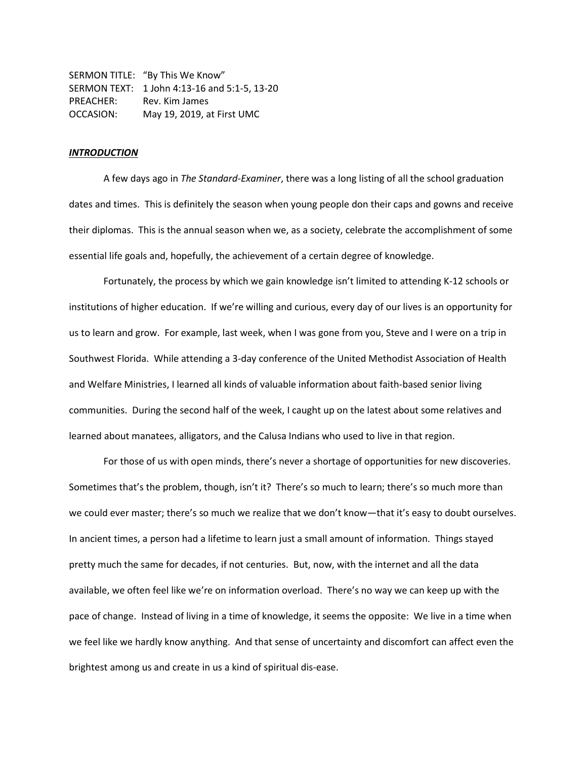SERMON TITLE: "By This We Know" SERMON TEXT: 1 John 4:13-16 and 5:1-5, 13-20 PREACHER: Rev. Kim James OCCASION: May 19, 2019, at First UMC

## *INTRODUCTION*

A few days ago in *The Standard-Examiner*, there was a long listing of all the school graduation dates and times. This is definitely the season when young people don their caps and gowns and receive their diplomas. This is the annual season when we, as a society, celebrate the accomplishment of some essential life goals and, hopefully, the achievement of a certain degree of knowledge.

Fortunately, the process by which we gain knowledge isn't limited to attending K-12 schools or institutions of higher education. If we're willing and curious, every day of our lives is an opportunity for us to learn and grow. For example, last week, when I was gone from you, Steve and I were on a trip in Southwest Florida. While attending a 3-day conference of the United Methodist Association of Health and Welfare Ministries, I learned all kinds of valuable information about faith-based senior living communities. During the second half of the week, I caught up on the latest about some relatives and learned about manatees, alligators, and the Calusa Indians who used to live in that region.

For those of us with open minds, there's never a shortage of opportunities for new discoveries. Sometimes that's the problem, though, isn't it? There's so much to learn; there's so much more than we could ever master; there's so much we realize that we don't know—that it's easy to doubt ourselves. In ancient times, a person had a lifetime to learn just a small amount of information. Things stayed pretty much the same for decades, if not centuries. But, now, with the internet and all the data available, we often feel like we're on information overload. There's no way we can keep up with the pace of change. Instead of living in a time of knowledge, it seems the opposite: We live in a time when we feel like we hardly know anything. And that sense of uncertainty and discomfort can affect even the brightest among us and create in us a kind of spiritual dis-ease.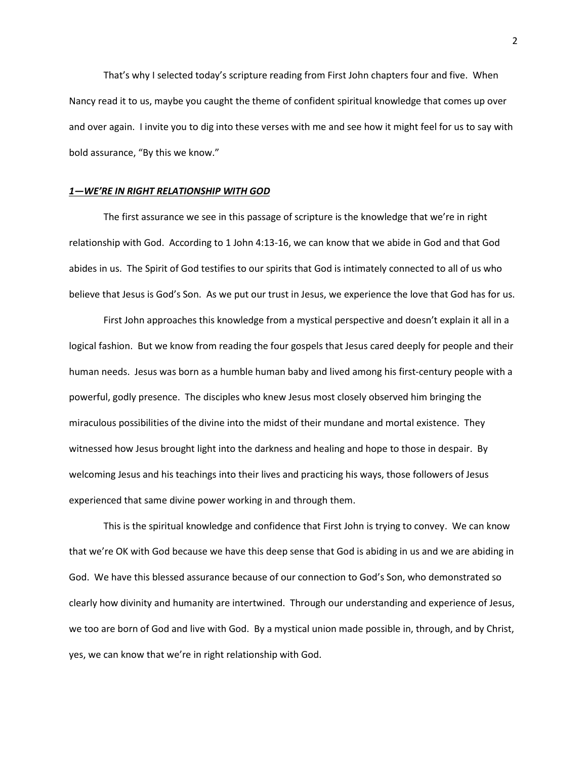That's why I selected today's scripture reading from First John chapters four and five. When Nancy read it to us, maybe you caught the theme of confident spiritual knowledge that comes up over and over again. I invite you to dig into these verses with me and see how it might feel for us to say with bold assurance, "By this we know."

### *1—WE'RE IN RIGHT RELATIONSHIP WITH GOD*

The first assurance we see in this passage of scripture is the knowledge that we're in right relationship with God. According to 1 John 4:13-16, we can know that we abide in God and that God abides in us. The Spirit of God testifies to our spirits that God is intimately connected to all of us who believe that Jesus is God's Son. As we put our trust in Jesus, we experience the love that God has for us.

First John approaches this knowledge from a mystical perspective and doesn't explain it all in a logical fashion. But we know from reading the four gospels that Jesus cared deeply for people and their human needs. Jesus was born as a humble human baby and lived among his first-century people with a powerful, godly presence. The disciples who knew Jesus most closely observed him bringing the miraculous possibilities of the divine into the midst of their mundane and mortal existence. They witnessed how Jesus brought light into the darkness and healing and hope to those in despair. By welcoming Jesus and his teachings into their lives and practicing his ways, those followers of Jesus experienced that same divine power working in and through them.

This is the spiritual knowledge and confidence that First John is trying to convey. We can know that we're OK with God because we have this deep sense that God is abiding in us and we are abiding in God. We have this blessed assurance because of our connection to God's Son, who demonstrated so clearly how divinity and humanity are intertwined. Through our understanding and experience of Jesus, we too are born of God and live with God. By a mystical union made possible in, through, and by Christ, yes, we can know that we're in right relationship with God.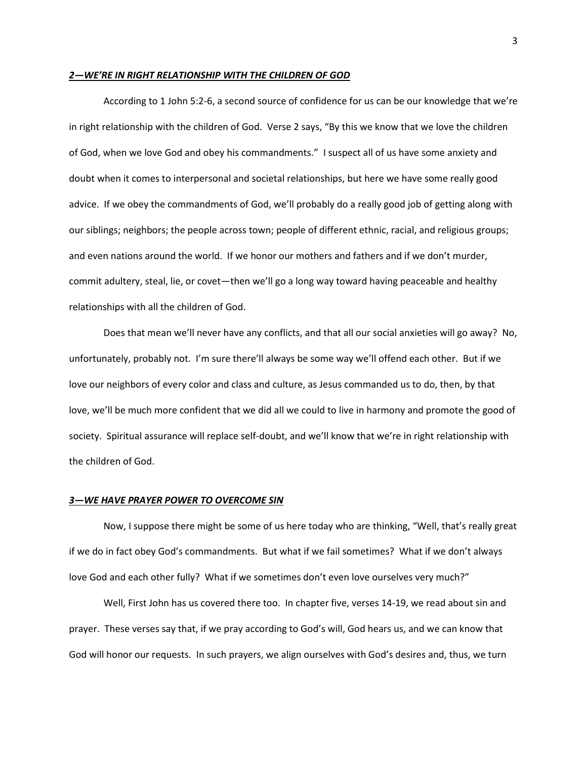### *2—WE'RE IN RIGHT RELATIONSHIP WITH THE CHILDREN OF GOD*

According to 1 John 5:2-6, a second source of confidence for us can be our knowledge that we're in right relationship with the children of God. Verse 2 says, "By this we know that we love the children of God, when we love God and obey his commandments." I suspect all of us have some anxiety and doubt when it comes to interpersonal and societal relationships, but here we have some really good advice. If we obey the commandments of God, we'll probably do a really good job of getting along with our siblings; neighbors; the people across town; people of different ethnic, racial, and religious groups; and even nations around the world. If we honor our mothers and fathers and if we don't murder, commit adultery, steal, lie, or covet—then we'll go a long way toward having peaceable and healthy relationships with all the children of God.

Does that mean we'll never have any conflicts, and that all our social anxieties will go away? No, unfortunately, probably not. I'm sure there'll always be some way we'll offend each other. But if we love our neighbors of every color and class and culture, as Jesus commanded us to do, then, by that love, we'll be much more confident that we did all we could to live in harmony and promote the good of society. Spiritual assurance will replace self-doubt, and we'll know that we're in right relationship with the children of God.

### *3—WE HAVE PRAYER POWER TO OVERCOME SIN*

Now, I suppose there might be some of us here today who are thinking, "Well, that's really great if we do in fact obey God's commandments. But what if we fail sometimes? What if we don't always love God and each other fully? What if we sometimes don't even love ourselves very much?"

Well, First John has us covered there too. In chapter five, verses 14-19, we read about sin and prayer. These verses say that, if we pray according to God's will, God hears us, and we can know that God will honor our requests. In such prayers, we align ourselves with God's desires and, thus, we turn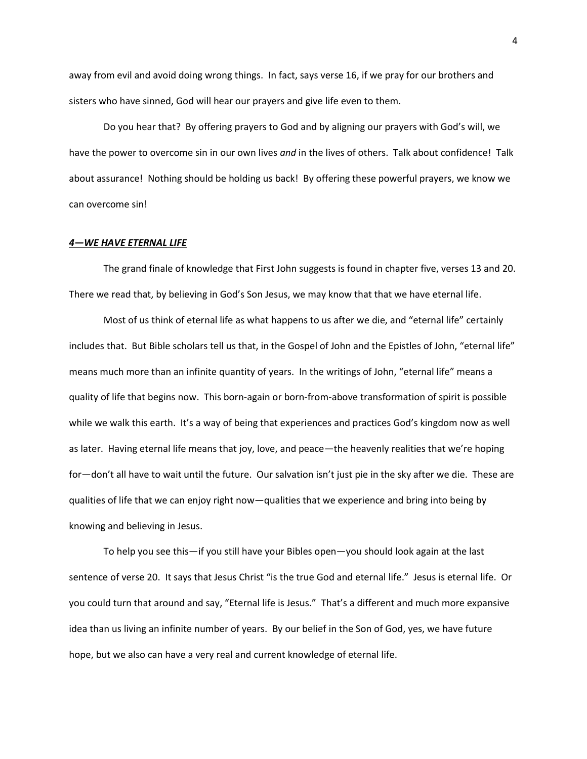away from evil and avoid doing wrong things. In fact, says verse 16, if we pray for our brothers and sisters who have sinned, God will hear our prayers and give life even to them.

Do you hear that? By offering prayers to God and by aligning our prayers with God's will, we have the power to overcome sin in our own lives *and* in the lives of others. Talk about confidence! Talk about assurance! Nothing should be holding us back! By offering these powerful prayers, we know we can overcome sin!

# *4—WE HAVE ETERNAL LIFE*

The grand finale of knowledge that First John suggests is found in chapter five, verses 13 and 20. There we read that, by believing in God's Son Jesus, we may know that that we have eternal life.

Most of us think of eternal life as what happens to us after we die, and "eternal life" certainly includes that. But Bible scholars tell us that, in the Gospel of John and the Epistles of John, "eternal life" means much more than an infinite quantity of years. In the writings of John, "eternal life" means a quality of life that begins now. This born-again or born-from-above transformation of spirit is possible while we walk this earth. It's a way of being that experiences and practices God's kingdom now as well as later. Having eternal life means that joy, love, and peace—the heavenly realities that we're hoping for—don't all have to wait until the future. Our salvation isn't just pie in the sky after we die. These are qualities of life that we can enjoy right now—qualities that we experience and bring into being by knowing and believing in Jesus.

To help you see this—if you still have your Bibles open—you should look again at the last sentence of verse 20. It says that Jesus Christ "is the true God and eternal life." Jesus is eternal life. Or you could turn that around and say, "Eternal life is Jesus." That's a different and much more expansive idea than us living an infinite number of years. By our belief in the Son of God, yes, we have future hope, but we also can have a very real and current knowledge of eternal life.